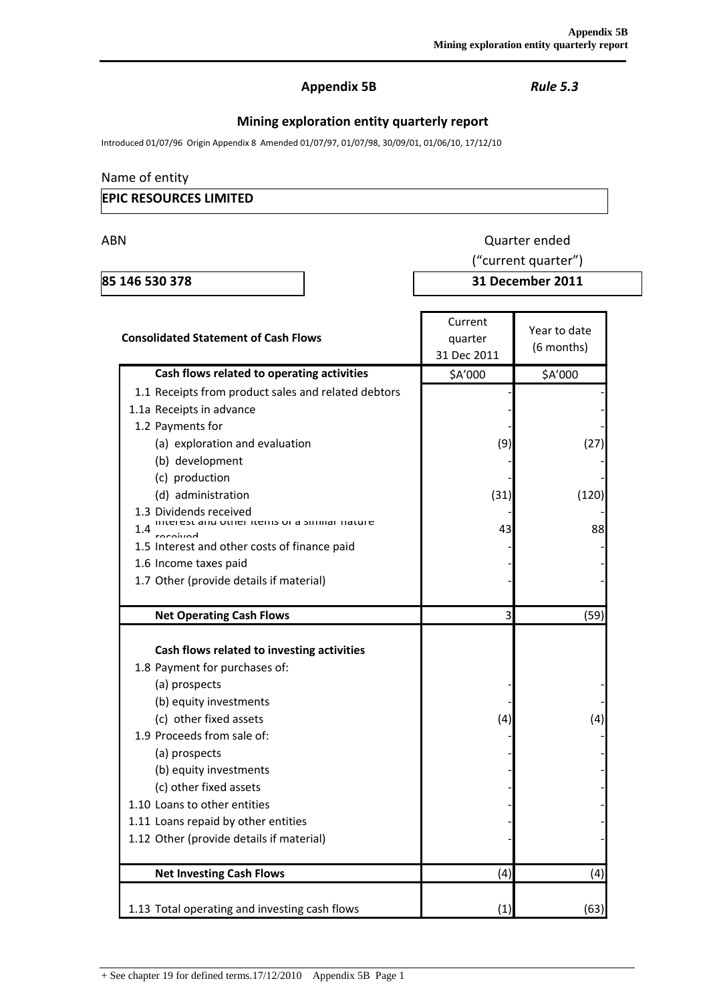## **Appendix 5B** *Rule 5.3*

# **Mining exploration entity quarterly report**

Introduced 01/07/96 Origin Appendix 8 Amended 01/07/97, 01/07/98, 30/09/01, 01/06/10, 17/12/10

## Name of entity

## **EPIC RESOURCES LIMITED**

ABN Quarter ended

**85 146 530 378 31 December 2011**

("current quarter")

| <b>Consolidated Statement of Cash Flows</b>                                                                                                                                                                                                                                                                                                                            | Current<br>quarter<br>31 Dec 2011 | Year to date<br>(6 months) |  |
|------------------------------------------------------------------------------------------------------------------------------------------------------------------------------------------------------------------------------------------------------------------------------------------------------------------------------------------------------------------------|-----------------------------------|----------------------------|--|
| Cash flows related to operating activities                                                                                                                                                                                                                                                                                                                             | \$A'000                           | \$A'000                    |  |
| 1.1 Receipts from product sales and related debtors                                                                                                                                                                                                                                                                                                                    |                                   |                            |  |
| 1.1a Receipts in advance                                                                                                                                                                                                                                                                                                                                               |                                   |                            |  |
| 1.2 Payments for                                                                                                                                                                                                                                                                                                                                                       |                                   |                            |  |
| (a) exploration and evaluation                                                                                                                                                                                                                                                                                                                                         | (9)                               | (27)                       |  |
| (b) development                                                                                                                                                                                                                                                                                                                                                        |                                   |                            |  |
| (c) production                                                                                                                                                                                                                                                                                                                                                         |                                   |                            |  |
| (d) administration                                                                                                                                                                                                                                                                                                                                                     | (31)                              | (120)                      |  |
| 1.3 Dividends received                                                                                                                                                                                                                                                                                                                                                 |                                   |                            |  |
| interest and other items or a similar nature<br>1.4                                                                                                                                                                                                                                                                                                                    | 43                                | 88                         |  |
| 1.5 Interest and other costs of finance paid                                                                                                                                                                                                                                                                                                                           |                                   |                            |  |
| 1.6 Income taxes paid                                                                                                                                                                                                                                                                                                                                                  |                                   |                            |  |
| 1.7 Other (provide details if material)                                                                                                                                                                                                                                                                                                                                |                                   |                            |  |
|                                                                                                                                                                                                                                                                                                                                                                        |                                   |                            |  |
| <b>Net Operating Cash Flows</b>                                                                                                                                                                                                                                                                                                                                        | 3                                 | (59)                       |  |
| Cash flows related to investing activities<br>1.8 Payment for purchases of:<br>(a) prospects<br>(b) equity investments<br>(c) other fixed assets<br>1.9 Proceeds from sale of:<br>(a) prospects<br>(b) equity investments<br>(c) other fixed assets<br>1.10 Loans to other entities<br>1.11 Loans repaid by other entities<br>1.12 Other (provide details if material) | (4)                               | (4)                        |  |
| <b>Net Investing Cash Flows</b>                                                                                                                                                                                                                                                                                                                                        | (4)                               | (4)                        |  |
| 1.13 Total operating and investing cash flows                                                                                                                                                                                                                                                                                                                          | (1)                               | (63)                       |  |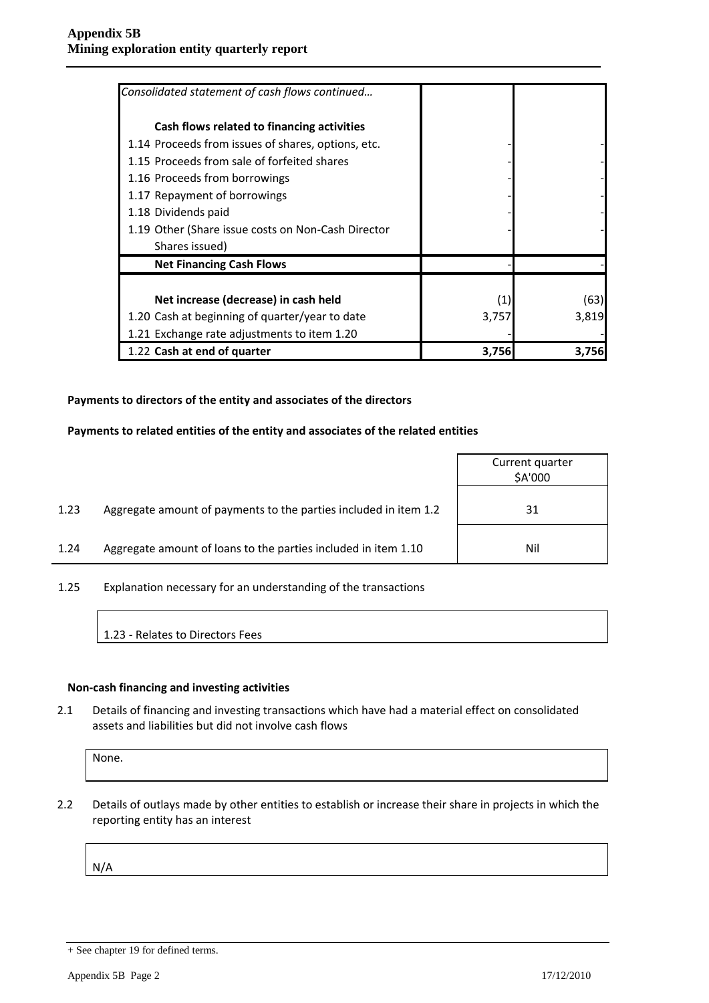| Consolidated statement of cash flows continued     |       |       |
|----------------------------------------------------|-------|-------|
| Cash flows related to financing activities         |       |       |
| 1.14 Proceeds from issues of shares, options, etc. |       |       |
| 1.15 Proceeds from sale of forfeited shares        |       |       |
| 1.16 Proceeds from borrowings                      |       |       |
| 1.17 Repayment of borrowings                       |       |       |
| 1.18 Dividends paid                                |       |       |
| 1.19 Other (Share issue costs on Non-Cash Director |       |       |
| Shares issued)                                     |       |       |
| <b>Net Financing Cash Flows</b>                    |       |       |
|                                                    |       |       |
| Net increase (decrease) in cash held               | (1)   | (63)  |
| 1.20 Cash at beginning of quarter/year to date     | 3,757 | 3,819 |
| 1.21 Exchange rate adjustments to item 1.20        |       |       |
| 1.22 Cash at end of quarter                        | 3,756 | 3,756 |

#### **Payments to directors of the entity and associates of the directors**

#### **Payments to related entities of the entity and associates of the related entities**

|      |                                                                  | Current quarter<br>\$A'000 |
|------|------------------------------------------------------------------|----------------------------|
| 1.23 | Aggregate amount of payments to the parties included in item 1.2 | 31                         |
| 1.24 | Aggregate amount of loans to the parties included in item 1.10   | Nil                        |

1.25 Explanation necessary for an understanding of the transactions

1.23 - Relates to Directors Fees

#### **Non-cash financing and investing activities**

2.1 Details of financing and investing transactions which have had a material effect on consolidated assets and liabilities but did not involve cash flows

None.

2.2 Details of outlays made by other entities to establish or increase their share in projects in which the reporting entity has an interest

N/A

<sup>+</sup> See chapter 19 for defined terms.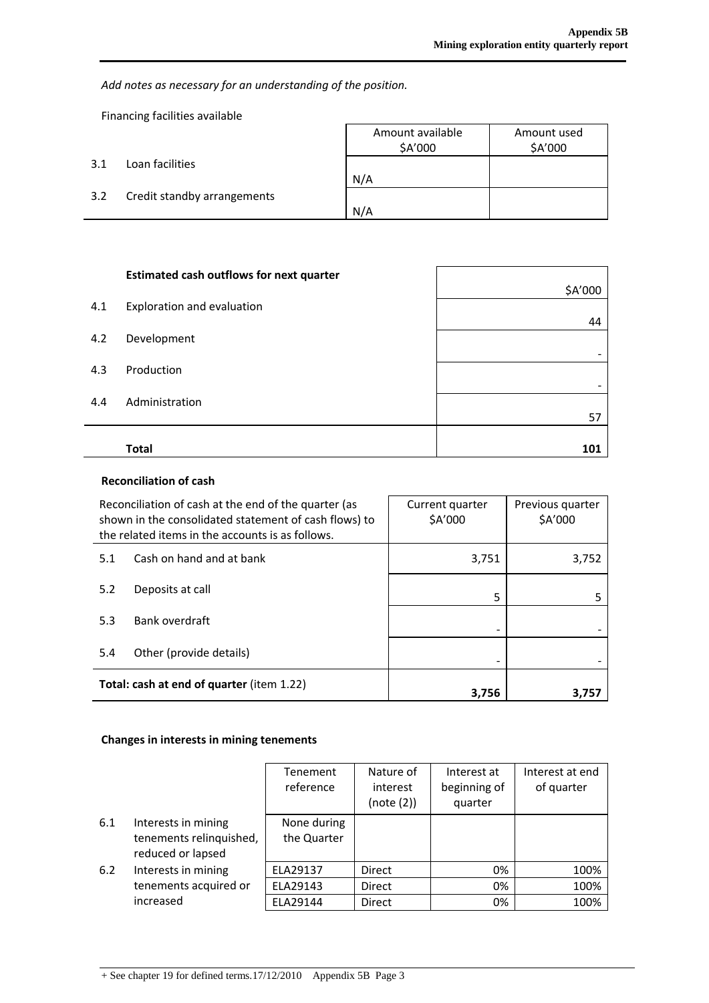*Add notes as necessary for an understanding of the position.*

Financing facilities available

l,

|     |                             | Amount available<br>\$A'000 | Amount used<br>\$A'000 |
|-----|-----------------------------|-----------------------------|------------------------|
| 3.1 | Loan facilities             |                             |                        |
|     |                             | N/A                         |                        |
| 3.2 | Credit standby arrangements |                             |                        |
|     |                             | N/A                         |                        |

|     | <b>Estimated cash outflows for next quarter</b> |         |
|-----|-------------------------------------------------|---------|
| 4.1 | Exploration and evaluation                      | \$A'000 |
|     |                                                 | 44      |
| 4.2 | Development                                     |         |
| 4.3 | Production                                      |         |
|     |                                                 |         |
| 4.4 | Administration                                  | 57      |
|     |                                                 |         |
|     | <b>Total</b>                                    | 101     |

## **Reconciliation of cash**

| Reconciliation of cash at the end of the quarter (as<br>shown in the consolidated statement of cash flows) to<br>the related items in the accounts is as follows. |                          | Current quarter<br>\$A'000 | Previous quarter<br>\$A'000 |
|-------------------------------------------------------------------------------------------------------------------------------------------------------------------|--------------------------|----------------------------|-----------------------------|
| 5.1                                                                                                                                                               | Cash on hand and at bank | 3,751                      | 3,752                       |
| 5.2                                                                                                                                                               | Deposits at call         | 5                          |                             |
| 5.3                                                                                                                                                               | Bank overdraft           |                            |                             |
| 5.4                                                                                                                                                               | Other (provide details)  |                            |                             |
| <b>Total: cash at end of quarter (item 1.22)</b>                                                                                                                  |                          | 3,756                      | 3,757                       |

## **Changes in interests in mining tenements**

|     |                                                                     | Tenement<br>reference      | Nature of<br>interest<br>(note (2)) | Interest at<br>beginning of<br>quarter | Interest at end<br>of quarter |
|-----|---------------------------------------------------------------------|----------------------------|-------------------------------------|----------------------------------------|-------------------------------|
| 6.1 | Interests in mining<br>tenements relinquished,<br>reduced or lapsed | None during<br>the Quarter |                                     |                                        |                               |
| 6.2 | Interests in mining                                                 | ELA29137                   | Direct                              | 0%                                     | 100%                          |
|     | tenements acquired or                                               | ELA29143                   | <b>Direct</b>                       | 0%                                     | 100%                          |
|     | increased                                                           | ELA29144                   | <b>Direct</b>                       | 0%                                     | 100%                          |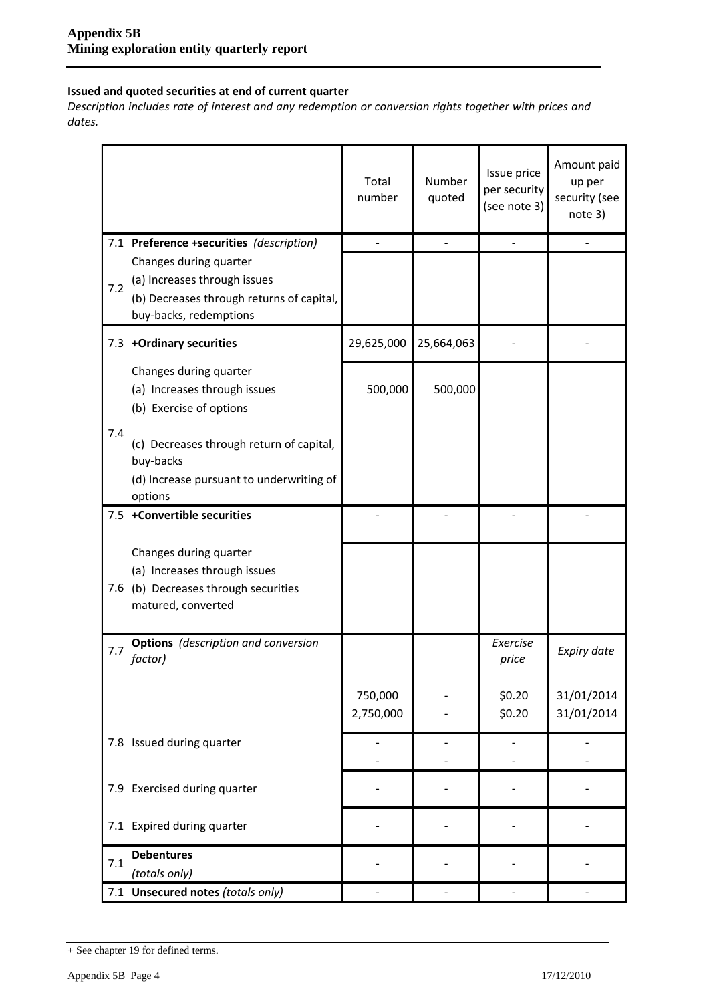## **Issued and quoted securities at end of current quarter**

*Description includes rate of interest and any redemption or conversion rights together with prices and dates.*

|     |                                                                                                                               | Total<br>number      | Number<br>quoted | Issue price<br>per security<br>(see note 3) | Amount paid<br>up per<br>security (see<br>note 3) |
|-----|-------------------------------------------------------------------------------------------------------------------------------|----------------------|------------------|---------------------------------------------|---------------------------------------------------|
|     | 7.1 Preference +securities (description)                                                                                      |                      |                  |                                             |                                                   |
| 7.2 | Changes during quarter<br>(a) Increases through issues<br>(b) Decreases through returns of capital,<br>buy-backs, redemptions |                      |                  |                                             |                                                   |
|     | 7.3 +Ordinary securities                                                                                                      | 29,625,000           | 25,664,063       |                                             |                                                   |
|     | Changes during quarter<br>(a) Increases through issues<br>(b) Exercise of options                                             | 500,000              | 500,000          |                                             |                                                   |
| 7.4 | (c) Decreases through return of capital,<br>buy-backs<br>(d) Increase pursuant to underwriting of<br>options                  |                      |                  |                                             |                                                   |
|     | 7.5 +Convertible securities                                                                                                   |                      |                  |                                             |                                                   |
|     | Changes during quarter<br>(a) Increases through issues<br>7.6 (b) Decreases through securities<br>matured, converted          |                      |                  |                                             |                                                   |
| 7.7 | <b>Options</b> (description and conversion<br>factor)                                                                         |                      |                  | Exercise<br>price                           | Expiry date                                       |
|     |                                                                                                                               | 750,000<br>2,750,000 |                  | \$0.20<br>\$0.20                            | 31/01/2014<br>31/01/2014                          |
|     | 7.8 Issued during quarter                                                                                                     |                      |                  |                                             |                                                   |
|     | 7.9 Exercised during quarter                                                                                                  |                      |                  |                                             |                                                   |
|     | 7.1 Expired during quarter                                                                                                    |                      |                  |                                             |                                                   |
| 7.1 | <b>Debentures</b><br>(totals only)                                                                                            |                      |                  |                                             |                                                   |
|     | 7.1 Unsecured notes (totals only)                                                                                             |                      |                  |                                             |                                                   |

<sup>+</sup> See chapter 19 for defined terms.